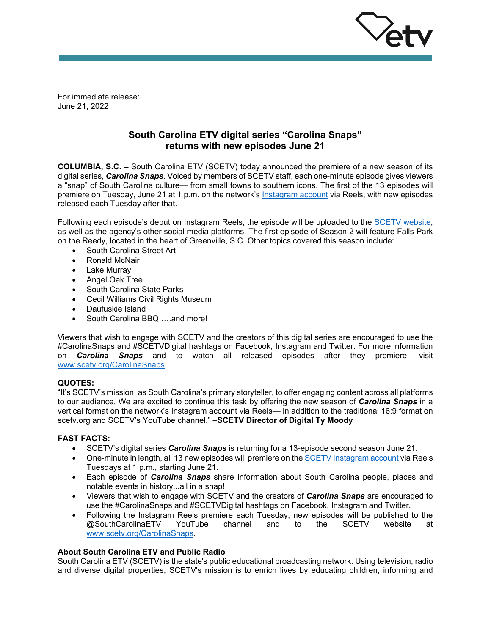

For immediate release: June 21, 2022

# **South Carolina ETV digital series "Carolina Snaps" returns with new episodes June 21**

**COLUMBIA, S.C. –** South Carolina ETV (SCETV) today announced the premiere of a new season of its digital series, *Carolina Snaps*. Voiced by members of SCETV staff, each one-minute episode gives viewers a "snap" of South Carolina culture— from small towns to southern icons. The first of the 13 episodes will premiere on Tuesday, June 21 at 1 p.m. on the network's [Instagram account](https://www.instagram.com/southcarolinaetv/) via Reels, with new episodes released each Tuesday after that.

Following each episode's debut on Instagram Reels, the episode will be uploaded to the [SCETV website,](http://www.scetv.org/CarolinaSnaps) as well as the agency's other social media platforms. The first episode of Season 2 will feature Falls Park on the Reedy, located in the heart of Greenville, S.C. Other topics covered this season include:

- South Carolina Street Art
- Ronald McNair
- Lake Murray
- Angel Oak Tree
- South Carolina State Parks
- Cecil Williams Civil Rights Museum
- Daufuskie Island
- South Carolina BBQ ….and more!

Viewers that wish to engage with SCETV and the creators of this digital series are encouraged to use the #CarolinaSnaps and #SCETVDigital hashtags on Facebook, Instagram and Twitter. For more information on *Carolina Snaps* and to watch all released episodes after they premiere, visit [www.scetv.org/CarolinaSnaps.](http://www.scetv.org/CarolinaSnaps)

### **QUOTES:**

"It's SCETV's mission, as South Carolina's primary storyteller, to offer engaging content across all platforms to our audience. We are excited to continue this task by offering the new season of *Carolina Snaps* in a vertical format on the network's Instagram account via Reels— in addition to the traditional 16:9 format on scetv.org and SCETV's YouTube channel." **–SCETV Director of Digital Ty Moody**

### **FAST FACTS:**

- SCETV's digital series *Carolina Snaps* is returning for a 13-episode second season June 21.
- One-minute in length, all 13 new episodes will premiere on the SCETV [Instagram account](https://www.instagram.com/southcarolinaetv/) via Reels Tuesdays at 1 p.m., starting June 21.
- Each episode of *Carolina Snaps* share information about South Carolina people, places and notable events in history...all in a snap!
- Viewers that wish to engage with SCETV and the creators of *Carolina Snaps* are encouraged to use the #CarolinaSnaps and #SCETVDigital hashtags on Facebook, Instagram and Twitter.
- Following the Instagram Reels premiere each Tuesday, new episodes will be published to the <br>@SouthCarolinaETV YouTube channel and to the SCETV website at @SouthCarolinaETV YouTube channel and to the SCETV website at [www.scetv.org/CarolinaSnaps.](http://www.scetv.org/CarolinaSnaps)

## **About South Carolina ETV and Public Radio**

South Carolina ETV (SCETV) is the state's public educational broadcasting network. Using television, radio and diverse digital properties, SCETV's mission is to enrich lives by educating children, informing and